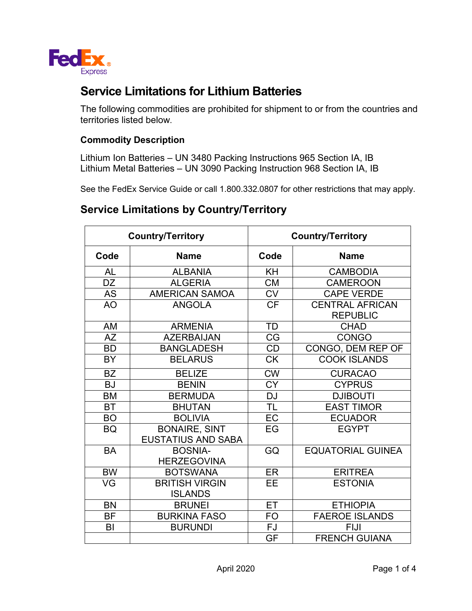

## **Service Limitations for Lithium Batteries**

The following commodities are prohibited for shipment to or from the countries and territories listed below.

## **Commodity Description**

Lithium Ion Batteries – UN 3480 Packing Instructions 965 Section IA, IB Lithium Metal Batteries – UN 3090 Packing Instruction 968 Section IA, IB

See the FedEx Service Guide or call 1.800.332.0807 for other restrictions that may apply.

## **Service Limitations by Country/Territory**

| <b>Country/Territory</b> |                                                   | <b>Country/Territory</b> |                                           |  |
|--------------------------|---------------------------------------------------|--------------------------|-------------------------------------------|--|
| Code                     | <b>Name</b>                                       | Code                     | <b>Name</b>                               |  |
| AL                       | <b>ALBANIA</b>                                    | KH                       | <b>CAMBODIA</b>                           |  |
| DZ                       | <b>ALGERIA</b>                                    | <b>CM</b>                | <b>CAMEROON</b>                           |  |
| <b>AS</b>                | <b>AMERICAN SAMOA</b>                             | <b>CV</b>                | <b>CAPE VERDE</b>                         |  |
| <b>AO</b>                | <b>ANGOLA</b>                                     | <b>CF</b>                | <b>CENTRAL AFRICAN</b><br><b>REPUBLIC</b> |  |
| <b>AM</b>                | <b>ARMENIA</b>                                    | <b>TD</b>                | <b>CHAD</b>                               |  |
| <b>AZ</b>                | <b>AZERBAIJAN</b>                                 | CG                       | <b>CONGO</b>                              |  |
| <b>BD</b>                | <b>BANGLADESH</b>                                 | <b>CD</b>                | CONGO, DEM REP OF                         |  |
| <b>BY</b>                | <b>BELARUS</b>                                    | <b>CK</b>                | <b>COOK ISLANDS</b>                       |  |
| <b>BZ</b>                | <b>BELIZE</b>                                     | <b>CW</b>                | <b>CURACAO</b>                            |  |
| <b>BJ</b>                | <b>BENIN</b>                                      | <b>CY</b>                | <b>CYPRUS</b>                             |  |
| <b>BM</b>                | <b>BERMUDA</b>                                    | <b>DJ</b>                | <b>DJIBOUTI</b>                           |  |
| <b>BT</b>                | <b>BHUTAN</b>                                     | <b>TL</b>                | <b>EAST TIMOR</b>                         |  |
| <b>BO</b>                | <b>BOLIVIA</b>                                    | EC                       | <b>ECUADOR</b>                            |  |
| <b>BQ</b>                | <b>BONAIRE, SINT</b><br><b>EUSTATIUS AND SABA</b> | EG                       | <b>EGYPT</b>                              |  |
| <b>BA</b>                | <b>BOSNIA-</b><br><b>HERZEGOVINA</b>              | GQ                       | <b>EQUATORIAL GUINEA</b>                  |  |
| <b>BW</b>                | <b>BOTSWANA</b>                                   | ER                       | <b>ERITREA</b>                            |  |
| VG                       | <b>BRITISH VIRGIN</b><br><b>ISLANDS</b>           | <b>EE</b>                | <b>ESTONIA</b>                            |  |
| <b>BN</b>                | <b>BRUNEI</b>                                     | ET                       | <b>ETHIOPIA</b>                           |  |
| <b>BF</b>                | <b>BURKINA FASO</b>                               | FO                       | <b>FAEROE ISLANDS</b>                     |  |
| BI                       | <b>BURUNDI</b>                                    | FJ                       | <b>FIJI</b>                               |  |
|                          |                                                   | GF                       | <b>FRENCH GUIANA</b>                      |  |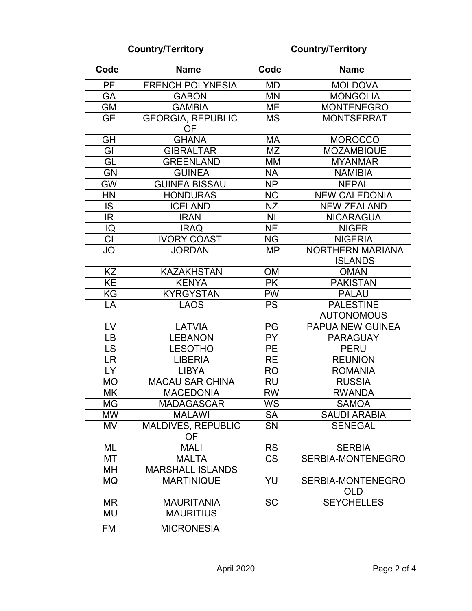| <b>Country/Territory</b> |                                | <b>Country/Territory</b> |                                           |  |
|--------------------------|--------------------------------|--------------------------|-------------------------------------------|--|
| Code                     | <b>Name</b>                    | Code                     | <b>Name</b>                               |  |
| PF                       | <b>FRENCH POLYNESIA</b>        | <b>MD</b>                | <b>MOLDOVA</b>                            |  |
| GA                       | <b>GABON</b>                   | <b>MN</b>                | <b>MONGOLIA</b>                           |  |
| <b>GM</b>                | <b>GAMBIA</b>                  | <b>ME</b>                | <b>MONTENEGRO</b>                         |  |
| <b>GE</b>                | <b>GEORGIA, REPUBLIC</b><br>OF | MS                       | <b>MONTSERRAT</b>                         |  |
| <b>GH</b>                | <b>GHANA</b>                   | <b>MA</b>                | <b>MOROCCO</b>                            |  |
| GI                       | <b>GIBRALTAR</b>               | <b>MZ</b>                | <b>MOZAMBIQUE</b>                         |  |
| GL                       | <b>GREENLAND</b>               | <b>MM</b>                | <b>MYANMAR</b>                            |  |
| <b>GN</b>                | <b>GUINEA</b>                  | <b>NA</b>                | <b>NAMIBIA</b>                            |  |
| <b>GW</b>                | <b>GUINEA BISSAU</b>           | <b>NP</b>                | <b>NEPAL</b>                              |  |
| HN                       | <b>HONDURAS</b>                | <b>NC</b>                | <b>NEW CALEDONIA</b>                      |  |
| <b>IS</b>                | <b>ICELAND</b>                 | <b>NZ</b>                | <b>NEW ZEALAND</b>                        |  |
| IR                       | <b>IRAN</b>                    | N <sub>l</sub>           | <b>NICARAGUA</b>                          |  |
| IQ                       | <b>IRAQ</b>                    | <b>NE</b>                | <b>NIGER</b>                              |  |
| CI                       | <b>IVORY COAST</b>             | <b>NG</b>                | <b>NIGERIA</b>                            |  |
| JO                       | <b>JORDAN</b>                  | <b>MP</b>                | <b>NORTHERN MARIANA</b><br><b>ISLANDS</b> |  |
| KZ                       | <b>KAZAKHSTAN</b>              | <b>OM</b>                | <b>OMAN</b>                               |  |
| <b>KE</b>                | <b>KENYA</b>                   | <b>PK</b>                | <b>PAKISTAN</b>                           |  |
| KG                       | <b>KYRGYSTAN</b>               | <b>PW</b>                | <b>PALAU</b>                              |  |
| LA                       | <b>LAOS</b>                    | <b>PS</b>                | <b>PALESTINE</b>                          |  |
|                          |                                |                          | <b>AUTONOMOUS</b>                         |  |
| LV                       | <b>LATVIA</b>                  | PG                       | <b>PAPUA NEW GUINEA</b>                   |  |
| LB                       | <b>LEBANON</b>                 | <b>PY</b>                | <b>PARAGUAY</b>                           |  |
| LS                       | <b>LESOTHO</b>                 | <b>PE</b>                | <b>PERU</b>                               |  |
| <b>LR</b>                | <b>LIBERIA</b>                 | <b>RE</b>                | <b>REUNION</b>                            |  |
| LY                       | <b>LIBYA</b>                   | <b>RO</b>                | <b>ROMANIA</b>                            |  |
| <b>MO</b>                | <b>MACAU SAR CHINA</b>         | <b>RU</b>                | <b>RUSSIA</b>                             |  |
| МK                       | <b>MACEDONIA</b>               | <b>RW</b>                | <b>RWANDA</b>                             |  |
| MG                       | <b>MADAGASCAR</b>              | <b>WS</b>                | <b>SAMOA</b>                              |  |
| <b>MW</b>                | <b>MALAWI</b>                  | SA                       | <b>SAUDI ARABIA</b>                       |  |
| MV                       | MALDIVES, REPUBLIC<br>OF.      | <b>SN</b>                | <b>SENEGAL</b>                            |  |
| ML                       | <b>MALI</b>                    | <b>RS</b>                | <b>SERBIA</b>                             |  |
| MT                       | <b>MALTA</b>                   | <b>CS</b>                | <b>SERBIA-MONTENEGRO</b>                  |  |
| MН                       | <b>MARSHALL ISLANDS</b>        |                          |                                           |  |
| <b>MQ</b>                | <b>MARTINIQUE</b>              | YU                       | <b>SERBIA-MONTENEGRO</b><br><b>OLD</b>    |  |
| <b>MR</b>                | <b>MAURITANIA</b>              | <b>SC</b>                | <b>SEYCHELLES</b>                         |  |
| MU                       | <b>MAURITIUS</b>               |                          |                                           |  |
| <b>FM</b>                | <b>MICRONESIA</b>              |                          |                                           |  |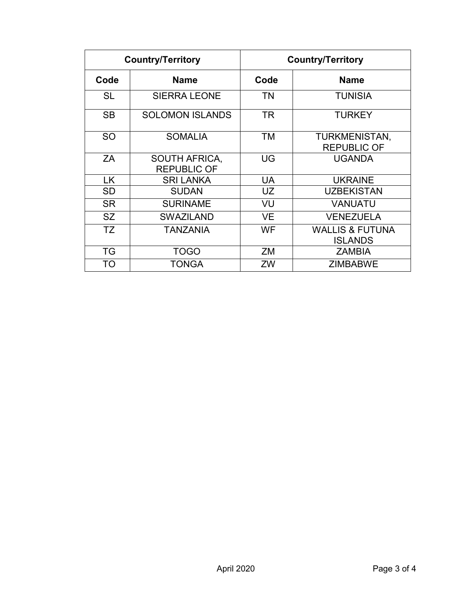| <b>Country/Territory</b> |                                            | <b>Country/Territory</b> |                                              |  |
|--------------------------|--------------------------------------------|--------------------------|----------------------------------------------|--|
| Code                     | <b>Name</b>                                | Code                     | <b>Name</b>                                  |  |
| <b>SL</b>                | <b>SIERRA LEONE</b>                        | <b>TN</b>                | <b>TUNISIA</b>                               |  |
| <b>SB</b>                | <b>SOLOMON ISLANDS</b>                     | <b>TR</b>                | <b>TURKEY</b>                                |  |
| <b>SO</b>                | <b>SOMALIA</b>                             | ТM                       | TURKMENISTAN,<br><b>REPUBLIC OF</b>          |  |
| ΖA                       | <b>SOUTH AFRICA,</b><br><b>REPUBLIC OF</b> | UG                       | <b>UGANDA</b>                                |  |
| <b>LK</b>                | <b>SRI LANKA</b>                           | <b>UA</b>                | <b>UKRAINE</b>                               |  |
| <b>SD</b>                | <b>SUDAN</b>                               | UZ                       | <b>UZBEKISTAN</b>                            |  |
| <b>SR</b>                | <b>SURINAME</b>                            | VU                       | <b>VANUATU</b>                               |  |
| <b>SZ</b>                | <b>SWAZILAND</b>                           | VE                       | <b>VENEZUELA</b>                             |  |
| TZ                       | TANZANIA                                   | WF                       | <b>WALLIS &amp; FUTUNA</b><br><b>ISLANDS</b> |  |
| <b>TG</b>                | <b>TOGO</b>                                | ZM                       | <b>ZAMBIA</b>                                |  |
| TO                       | TONGA                                      | ZW                       | <b>ZIMBABWE</b>                              |  |